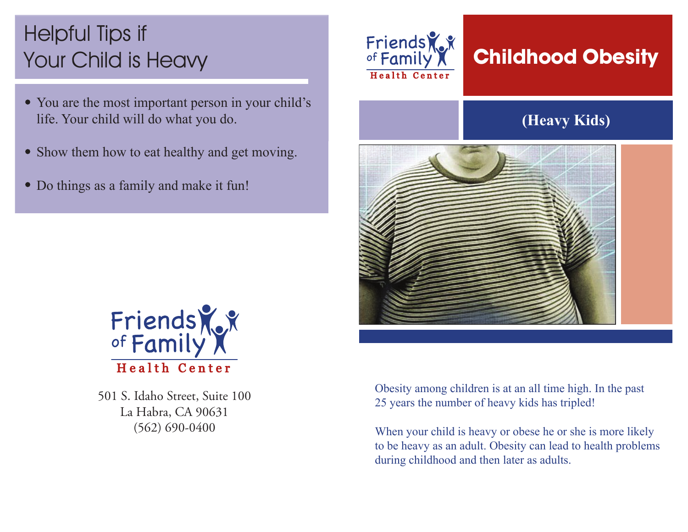# Helpful Tips if Your Child is Heavy

- You are the most important person in your child's life. Your child will do what you do.
- Show them how to eat healthy and get moving.
- Do things as a family and make it fun!



## **Childhood Obesity**

### **(Heavy Kids)**





501 S. Idaho Street, Suite 100 La Habra, CA 90631 (562) 690-0400

Obesity among children is at an all time high. In the past 25 years the number of heavy kids has tripled!

When your child is heavy or obese he or she is more likely to be heavy as an adult. Obesity can lead to health problems during childhood and then later as adults.